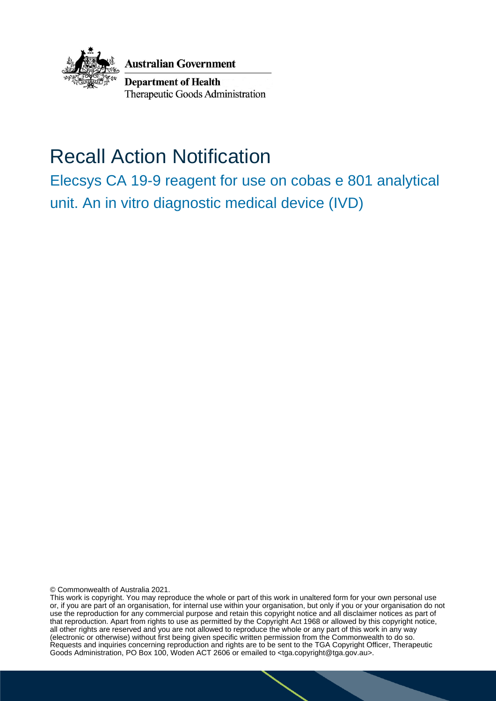

**Australian Government** 

**Department of Health** Therapeutic Goods Administration

# Recall Action Notification

Elecsys CA 19-9 reagent for use on cobas e 801 analytical unit. An in vitro diagnostic medical device (IVD)

© Commonwealth of Australia 2021.

This work is copyright. You may reproduce the whole or part of this work in unaltered form for your own personal use or, if you are part of an organisation, for internal use within your organisation, but only if you or your organisation do not use the reproduction for any commercial purpose and retain this copyright notice and all disclaimer notices as part of that reproduction. Apart from rights to use as permitted by the Copyright Act 1968 or allowed by this copyright notice, all other rights are reserved and you are not allowed to reproduce the whole or any part of this work in any way (electronic or otherwise) without first being given specific written permission from the Commonwealth to do so. Requests and inquiries concerning reproduction and rights are to be sent to the TGA Copyright Officer, Therapeutic Goods Administration, PO Box 100, Woden ACT 2606 or emailed to <tga.copyright@tga.gov.au>.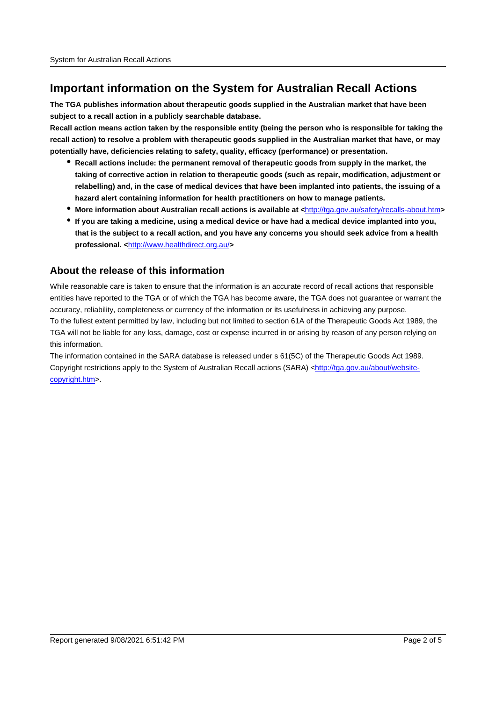### **Important information on the System for Australian Recall Actions**

**The TGA publishes information about therapeutic goods supplied in the Australian market that have been subject to a recall action in a publicly searchable database.**

**Recall action means action taken by the responsible entity (being the person who is responsible for taking the recall action) to resolve a problem with therapeutic goods supplied in the Australian market that have, or may potentially have, deficiencies relating to safety, quality, efficacy (performance) or presentation.**

- **Recall actions include: the permanent removal of therapeutic goods from supply in the market, the taking of corrective action in relation to therapeutic goods (such as repair, modification, adjustment or relabelling) and, in the case of medical devices that have been implanted into patients, the issuing of a hazard alert containing information for health practitioners on how to manage patients.**
- **More information about Australian recall actions is available at <**http://tga.gov.au/safety/recalls-about.htm**>**
- **If you are taking a medicine, using a medical device or have had a medical device implanted into you, that is the subject to a recall action, and you have any concerns you should seek advice from a health professional. <**http://www.healthdirect.org.au/**>**

#### **About the release of this information**

While reasonable care is taken to ensure that the information is an accurate record of recall actions that responsible entities have reported to the TGA or of which the TGA has become aware, the TGA does not guarantee or warrant the accuracy, reliability, completeness or currency of the information or its usefulness in achieving any purpose. To the fullest extent permitted by law, including but not limited to section 61A of the Therapeutic Goods Act 1989, the TGA will not be liable for any loss, damage, cost or expense incurred in or arising by reason of any person relying on this information.

The information contained in the SARA database is released under s 61(5C) of the Therapeutic Goods Act 1989. Copyright restrictions apply to the System of Australian Recall actions (SARA) <http://tga.gov.au/about/websitecopyright.htm>.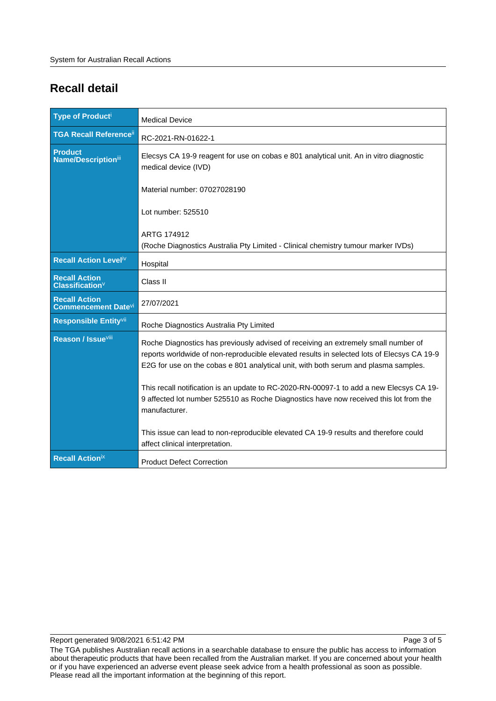## **Recall detail**

| <b>Type of Producti</b>                             | <b>Medical Device</b>                                                                                                                                                                                                                                                                                                                                                                                                                                                                                                                                                                                   |
|-----------------------------------------------------|---------------------------------------------------------------------------------------------------------------------------------------------------------------------------------------------------------------------------------------------------------------------------------------------------------------------------------------------------------------------------------------------------------------------------------------------------------------------------------------------------------------------------------------------------------------------------------------------------------|
| <b>TGA Recall Reference</b> ii                      | RC-2021-RN-01622-1                                                                                                                                                                                                                                                                                                                                                                                                                                                                                                                                                                                      |
| <b>Product</b><br><b>Name/Descriptioniii</b>        | Elecsys CA 19-9 reagent for use on cobas e 801 analytical unit. An in vitro diagnostic<br>medical device (IVD)                                                                                                                                                                                                                                                                                                                                                                                                                                                                                          |
|                                                     | Material number: 07027028190                                                                                                                                                                                                                                                                                                                                                                                                                                                                                                                                                                            |
|                                                     | Lot number: 525510                                                                                                                                                                                                                                                                                                                                                                                                                                                                                                                                                                                      |
|                                                     | ARTG 174912                                                                                                                                                                                                                                                                                                                                                                                                                                                                                                                                                                                             |
|                                                     | (Roche Diagnostics Australia Pty Limited - Clinical chemistry tumour marker IVDs)                                                                                                                                                                                                                                                                                                                                                                                                                                                                                                                       |
| Recall Action Leveliv                               | Hospital                                                                                                                                                                                                                                                                                                                                                                                                                                                                                                                                                                                                |
| <b>Recall Action</b><br>Classification <sup>V</sup> | Class II                                                                                                                                                                                                                                                                                                                                                                                                                                                                                                                                                                                                |
| <b>Recall Action</b><br><b>Commencement Datevi</b>  | 27/07/2021                                                                                                                                                                                                                                                                                                                                                                                                                                                                                                                                                                                              |
| Responsible Entity <sup>vii</sup>                   | Roche Diagnostics Australia Pty Limited                                                                                                                                                                                                                                                                                                                                                                                                                                                                                                                                                                 |
| <b>Reason / Issueville</b>                          | Roche Diagnostics has previously advised of receiving an extremely small number of<br>reports worldwide of non-reproducible elevated results in selected lots of Elecsys CA 19-9<br>E2G for use on the cobas e 801 analytical unit, with both serum and plasma samples.<br>This recall notification is an update to RC-2020-RN-00097-1 to add a new Elecsys CA 19-<br>9 affected lot number 525510 as Roche Diagnostics have now received this lot from the<br>manufacturer.<br>This issue can lead to non-reproducible elevated CA 19-9 results and therefore could<br>affect clinical interpretation. |
| <b>Recall Actionix</b>                              | <b>Product Defect Correction</b>                                                                                                                                                                                                                                                                                                                                                                                                                                                                                                                                                                        |

The TGA publishes Australian recall actions in a searchable database to ensure the public has access to information about therapeutic products that have been recalled from the Australian market. If you are concerned about your health or if you have experienced an adverse event please seek advice from a health professional as soon as possible. Please read all the important information at the beginning of this report.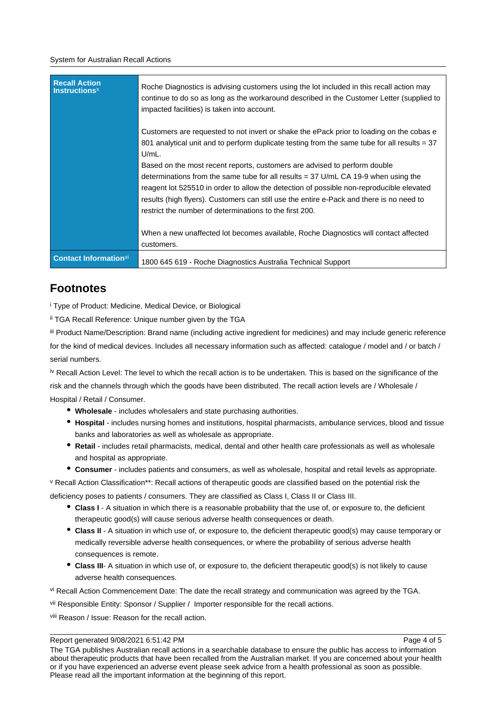#### System for Australian Recall Actions

| <b>Recall Action</b><br><b>Instructions</b> <sup>×</sup> | Roche Diagnostics is advising customers using the lot included in this recall action may<br>continue to do so as long as the workaround described in the Customer Letter (supplied to<br>impacted facilities) is taken into account.                                                                                                                                                                                 |
|----------------------------------------------------------|----------------------------------------------------------------------------------------------------------------------------------------------------------------------------------------------------------------------------------------------------------------------------------------------------------------------------------------------------------------------------------------------------------------------|
|                                                          | Customers are requested to not invert or shake the ePack prior to loading on the cobas e<br>801 analytical unit and to perform duplicate testing from the same tube for all results $=$ 37<br>$U/mL$ .                                                                                                                                                                                                               |
|                                                          | Based on the most recent reports, customers are advised to perform double<br>determinations from the same tube for all results $=$ 37 U/mL CA 19-9 when using the<br>reagent lot 525510 in order to allow the detection of possible non-reproducible elevated<br>results (high flyers). Customers can still use the entire e-Pack and there is no need to<br>restrict the number of determinations to the first 200. |
|                                                          | When a new unaffected lot becomes available, Roche Diagnostics will contact affected<br>customers.                                                                                                                                                                                                                                                                                                                   |
| <b>Contact Information</b> xi                            | 1800 645 619 - Roche Diagnostics Australia Technical Support                                                                                                                                                                                                                                                                                                                                                         |

### **Footnotes**

i Type of Product: Medicine, Medical Device, or Biological

ii TGA Recall Reference: Unique number given by the TGA

iii Product Name/Description: Brand name (including active ingredient for medicines) and may include generic reference for the kind of medical devices. Includes all necessary information such as affected: catalogue / model and / or batch / serial numbers.

iv Recall Action Level: The level to which the recall action is to be undertaken. This is based on the significance of the risk and the channels through which the goods have been distributed. The recall action levels are / Wholesale / Hospital / Retail / Consumer.

- **Wholesale** includes wholesalers and state purchasing authorities.
- **Hospital** includes nursing homes and institutions, hospital pharmacists, ambulance services, blood and tissue banks and laboratories as well as wholesale as appropriate.
- **Retail** includes retail pharmacists, medical, dental and other health care professionals as well as wholesale and hospital as appropriate.
- **Consumer** includes patients and consumers, as well as wholesale, hospital and retail levels as appropriate.

v Recall Action Classification\*\*: Recall actions of therapeutic goods are classified based on the potential risk the deficiency poses to patients / consumers. They are classified as Class I, Class II or Class III.

- **Class I** A situation in which there is a reasonable probability that the use of, or exposure to, the deficient therapeutic good(s) will cause serious adverse health consequences or death.
- **Class II** A situation in which use of, or exposure to, the deficient therapeutic good(s) may cause temporary or medically reversible adverse health consequences, or where the probability of serious adverse health consequences is remote.
- **Class III** A situation in which use of, or exposure to, the deficient therapeutic good(s) is not likely to cause adverse health consequences.

vi Recall Action Commencement Date: The date the recall strategy and communication was agreed by the TGA.

vii Responsible Entity: Sponsor / Supplier / Importer responsible for the recall actions.

viii Reason / Issue: Reason for the recall action.

#### Report generated 9/08/2021 6:51:42 PM

Page 4 of 5

The TGA publishes Australian recall actions in a searchable database to ensure the public has access to information about therapeutic products that have been recalled from the Australian market. If you are concerned about your health or if you have experienced an adverse event please seek advice from a health professional as soon as possible. Please read all the important information at the beginning of this report.